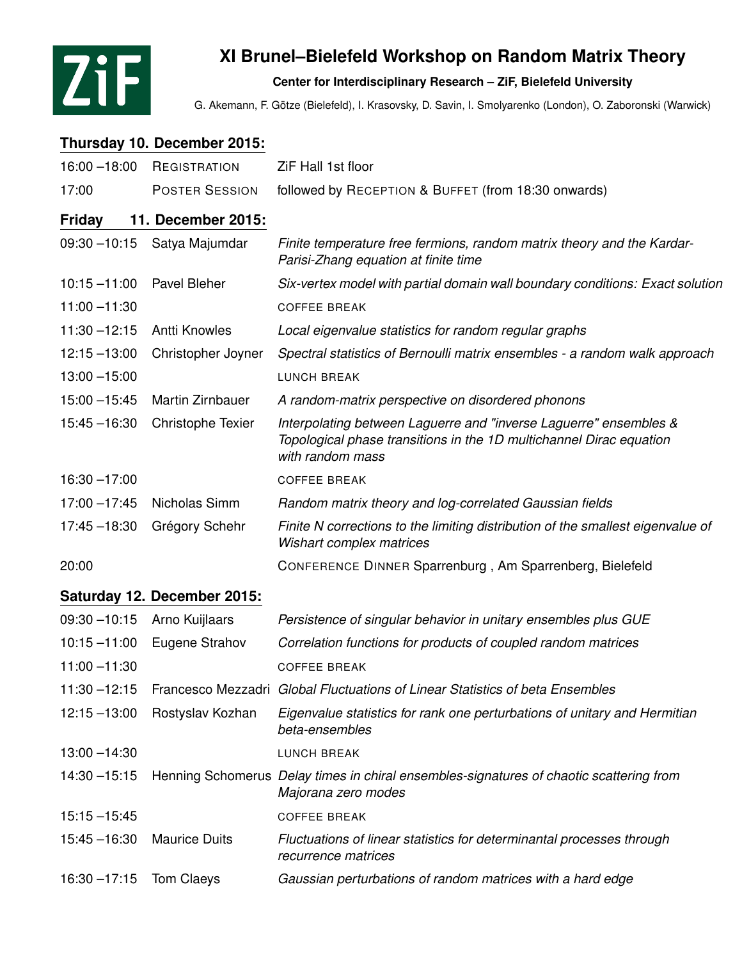

## **XI Brunel–Bielefeld Workshop on Random Matrix Theory**

## **Center for Interdisciplinary Research – ZiF, Bielefeld University**

G. Akemann, F. Götze (Bielefeld), I. Krasovsky, D. Savin, I. Smolyarenko (London), O. Zaboronski (Warwick)

## **Thursday 10. December 2015:**

| $16:00 - 18:00$ | REGISTRATION                | ZiF Hall 1st floor                                                                                                                                           |
|-----------------|-----------------------------|--------------------------------------------------------------------------------------------------------------------------------------------------------------|
| 17:00           | <b>POSTER SESSION</b>       | followed by RECEPTION & BUFFET (from 18:30 onwards)                                                                                                          |
| <b>Friday</b>   | 11. December 2015:          |                                                                                                                                                              |
| $09:30 - 10:15$ | Satya Majumdar              | Finite temperature free fermions, random matrix theory and the Kardar-<br>Parisi-Zhang equation at finite time                                               |
| $10:15 - 11:00$ | Pavel Bleher                | Six-vertex model with partial domain wall boundary conditions: Exact solution                                                                                |
| $11:00 - 11:30$ |                             | <b>COFFEE BREAK</b>                                                                                                                                          |
| $11:30 - 12:15$ | <b>Antti Knowles</b>        | Local eigenvalue statistics for random regular graphs                                                                                                        |
| $12:15 - 13:00$ | Christopher Joyner          | Spectral statistics of Bernoulli matrix ensembles - a random walk approach                                                                                   |
| $13:00 - 15:00$ |                             | <b>LUNCH BREAK</b>                                                                                                                                           |
| $15:00 - 15:45$ | Martin Zirnbauer            | A random-matrix perspective on disordered phonons                                                                                                            |
| $15:45 - 16:30$ | Christophe Texier           | Interpolating between Laguerre and "inverse Laguerre" ensembles &<br>Topological phase transitions in the 1D multichannel Dirac equation<br>with random mass |
| $16:30 - 17:00$ |                             | <b>COFFEE BREAK</b>                                                                                                                                          |
| $17:00 - 17:45$ | Nicholas Simm               | Random matrix theory and log-correlated Gaussian fields                                                                                                      |
| $17:45 - 18:30$ | Grégory Schehr              | Finite N corrections to the limiting distribution of the smallest eigenvalue of<br>Wishart complex matrices                                                  |
| 20:00           |                             | CONFERENCE DINNER Sparrenburg, Am Sparrenberg, Bielefeld                                                                                                     |
|                 | Saturday 12. December 2015: |                                                                                                                                                              |
| $09:30 - 10:15$ | Arno Kuijlaars              | Persistence of singular behavior in unitary ensembles plus GUE                                                                                               |
| $10:15 - 11:00$ | Eugene Strahov              | Correlation functions for products of coupled random matrices                                                                                                |
| $11:00 - 11:30$ |                             | <b>COFFEE BREAK</b>                                                                                                                                          |
| $11:30 - 12:15$ |                             | Francesco Mezzadri Global Fluctuations of Linear Statistics of beta Ensembles                                                                                |
| $12:15 - 13:00$ | Rostyslav Kozhan            | Eigenvalue statistics for rank one perturbations of unitary and Hermitian<br>beta-ensembles                                                                  |
| $13:00 - 14:30$ |                             | <b>LUNCH BREAK</b>                                                                                                                                           |
| $14:30 - 15:15$ |                             | Henning Schomerus Delay times in chiral ensembles-signatures of chaotic scattering from<br>Majorana zero modes                                               |
| $15:15 - 15:45$ |                             | <b>COFFEE BREAK</b>                                                                                                                                          |
| $15:45 - 16:30$ | <b>Maurice Duits</b>        | Fluctuations of linear statistics for determinantal processes through<br>recurrence matrices                                                                 |
| $16:30 - 17:15$ | Tom Claeys                  | Gaussian perturbations of random matrices with a hard edge                                                                                                   |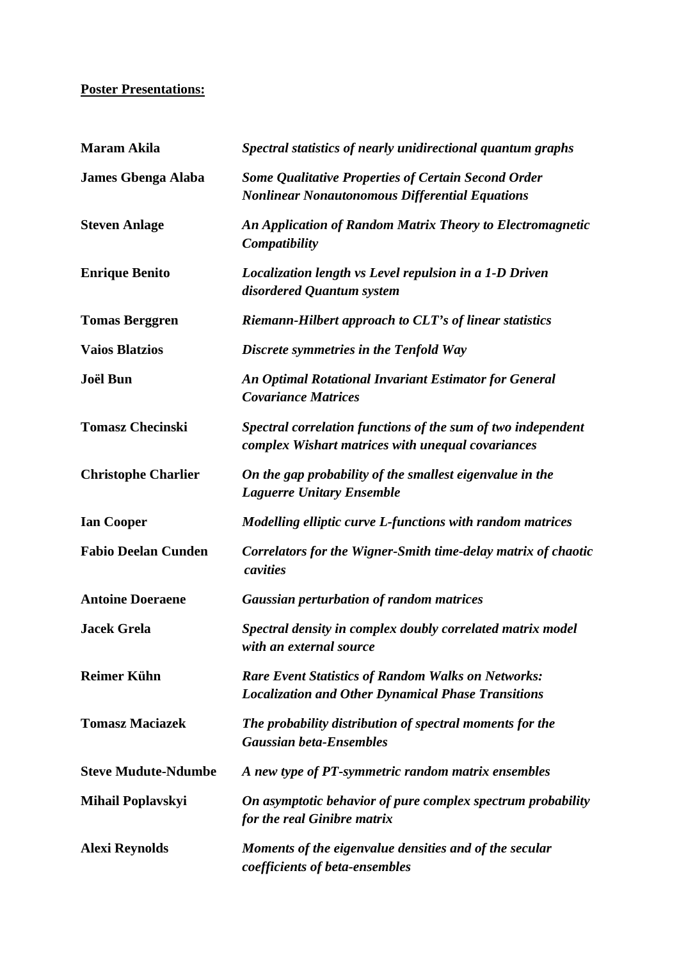## **Poster Presentations:**

| <b>Maram Akila</b>         | Spectral statistics of nearly unidirectional quantum graphs                                                            |
|----------------------------|------------------------------------------------------------------------------------------------------------------------|
| <b>James Gbenga Alaba</b>  | <b>Some Qualitative Properties of Certain Second Order</b><br><b>Nonlinear Nonautonomous Differential Equations</b>    |
| <b>Steven Anlage</b>       | An Application of Random Matrix Theory to Electromagnetic<br>Compatibility                                             |
| <b>Enrique Benito</b>      | Localization length vs Level repulsion in a 1-D Driven<br>disordered Quantum system                                    |
| <b>Tomas Berggren</b>      | <b>Riemann-Hilbert approach to CLT's of linear statistics</b>                                                          |
| <b>Vaios Blatzios</b>      | Discrete symmetries in the Tenfold Way                                                                                 |
| Joël Bun                   | <b>An Optimal Rotational Invariant Estimator for General</b><br><b>Covariance Matrices</b>                             |
| <b>Tomasz Checinski</b>    | Spectral correlation functions of the sum of two independent<br>complex Wishart matrices with unequal covariances      |
| <b>Christophe Charlier</b> | On the gap probability of the smallest eigenvalue in the<br><b>Laguerre Unitary Ensemble</b>                           |
| <b>Ian Cooper</b>          | Modelling elliptic curve L-functions with random matrices                                                              |
| <b>Fabio Deelan Cunden</b> | Correlators for the Wigner-Smith time-delay matrix of chaotic<br>cavities                                              |
| <b>Antoine Doeraene</b>    | <b>Gaussian perturbation of random matrices</b>                                                                        |
| <b>Jacek Grela</b>         | Spectral density in complex doubly correlated matrix model<br>with an external source                                  |
| <b>Reimer Kühn</b>         | <b>Rare Event Statistics of Random Walks on Networks:</b><br><b>Localization and Other Dynamical Phase Transitions</b> |
| <b>Tomasz Maciazek</b>     | The probability distribution of spectral moments for the<br><b>Gaussian beta-Ensembles</b>                             |
| <b>Steve Mudute-Ndumbe</b> | A new type of PT-symmetric random matrix ensembles                                                                     |
| <b>Mihail Poplavskyi</b>   | On asymptotic behavior of pure complex spectrum probability<br>for the real Ginibre matrix                             |
| <b>Alexi Reynolds</b>      | Moments of the eigenvalue densities and of the secular<br>coefficients of beta-ensembles                               |